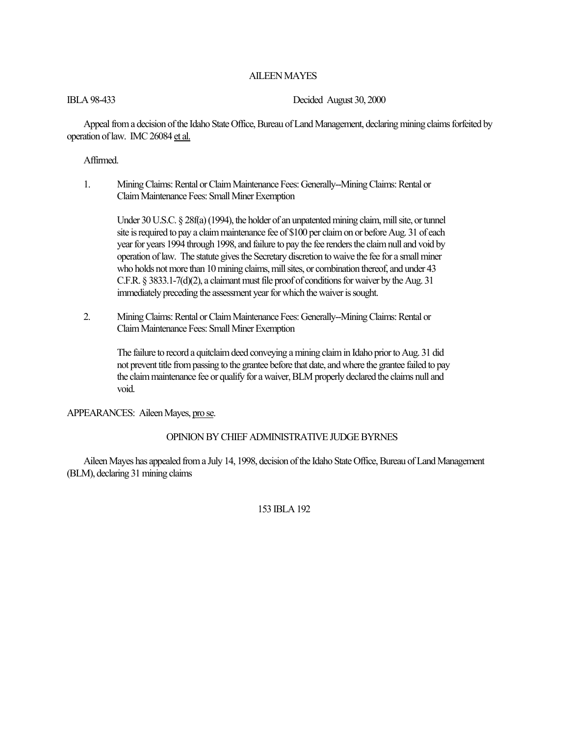# AILEEN MAYES

IBLA 98-433 Decided August 30, 2000

Appeal from a decision of the Idaho State Office, Bureau of Land Management, declaring mining claims forfeited by operation of law. IMC 26084 et al.

# Affirmed.

1. Mining Claims: Rental or Claim Maintenance Fees: Generally--Mining Claims: Rental or Claim Maintenance Fees: Small Miner Exemption

Under 30 U.S.C. § 28f(a) (1994), the holder of an unpatented mining claim, mill site, or tunnel site is required to pay a claim maintenance fee of \$100 per claim on or before Aug. 31 of each year for years 1994 through 1998, and failure to pay the fee renders the claim null and void by operation of law. The statute gives the Secretary discretion to waive the fee for a small miner who holds not more than 10 mining claims, mill sites, or combination thereof, and under 43 C.F.R. § 3833.1-7(d)(2), a claimant must file proof of conditions for waiver by the Aug. 31 immediately preceding the assessment year for which the waiver is sought.

2. Mining Claims: Rental or Claim Maintenance Fees: Generally--Mining Claims: Rental or Claim Maintenance Fees: Small Miner Exemption

The failure to record a quitclaim deed conveying a mining claim in Idaho prior to Aug. 31 did not prevent title from passing to the grantee before that date, and where the grantee failed to pay the claim maintenance fee or qualify for a waiver, BLM properly declared the claims null and void.

## APPEARANCES: Aileen Mayes, pro se.

# OPINION BY CHIEF ADMINISTRATIVE JUDGE BYRNES

Aileen Mayes has appealed from a July 14, 1998, decision of the Idaho State Office, Bureau of Land Management (BLM), declaring 31 mining claims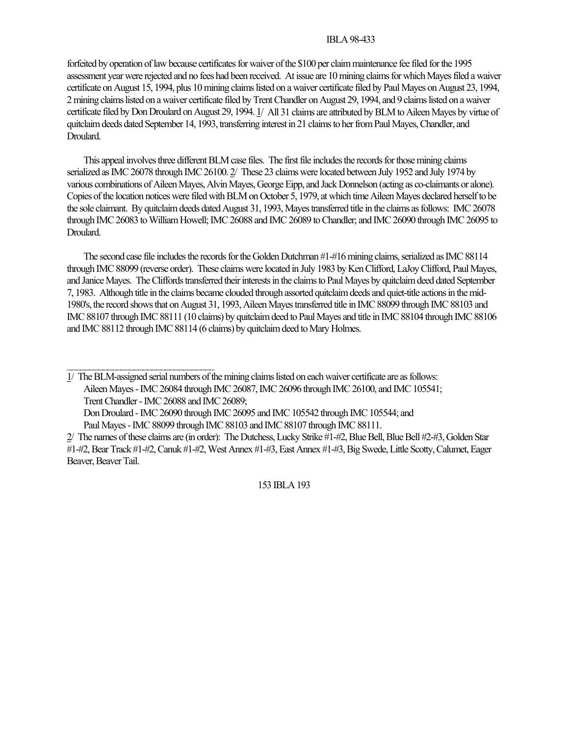forfeited by operation of law because certificates for waiver of the \$100 per claim maintenance fee filed for the 1995 assessment year were rejected and no fees had been received. At issue are 10 mining claims for which Mayes filed a waiver certificate on August 15, 1994, plus 10 mining claims listed on a waiver certificate filed by Paul Mayes on August 23, 1994, 2 mining claims listed on a waiver certificate filed by Trent Chandler on August 29, 1994, and 9 claims listed on a waiver certificate filed by Don Droulard on August 29, 1994. 1/ All 31 claims are attributed by BLM to Aileen Mayes by virtue of quitclaim deeds dated September 14, 1993, transferring interest in 21 claims to her from Paul Mayes, Chandler, and Droulard.

This appeal involves three different BLM case files. The first file includes the records for those mining claims serialized as IMC 26078 through IMC 26100. 2/ These 23 claims were located between July 1952 and July 1974 by various combinations of Aileen Mayes, Alvin Mayes, George Eipp, and Jack Donnelson (acting as co-claimants or alone). Copies of the location notices were filed with BLM on October 5, 1979, at which time Aileen Mayes declared herself to be the sole claimant. By quitclaim deeds dated August 31, 1993, Mayes transferred title in the claims as follows: IMC 26078 through IMC 26083 to William Howell; IMC 26088 and IMC 26089 to Chandler; and IMC 26090 through IMC 26095 to Droulard.

The second case file includes the records for the Golden Dutchman #1-#16 mining claims, serialized as IMC 88114 through IMC 88099 (reverse order). These claims were located in July 1983 by Ken Clifford, LaJoy Clifford, Paul Mayes, and Janice Mayes. The Cliffords transferred their interests in the claims to Paul Mayes by quitclaim deed dated September 7, 1983. Although title in the claims became clouded through assorted quitclaim deeds and quiet-title actions in the mid-1980's, the record shows that on August 31, 1993, Aileen Mayes transferred title in IMC 88099 through IMC 88103 and IMC 88107 through IMC 88111 (10 claims) by quitclaim deed to Paul Mayes and title in IMC 88104 through IMC 88106 and IMC 88112 through IMC 88114 (6 claims) by quitclaim deed to Mary Holmes.

1/ The BLM-assigned serial numbers of the mining claims listed on each waiver certificate are as follows: Aileen Mayes - IMC 26084 through IMC 26087, IMC 26096 through IMC 26100, and IMC 105541; Trent Chandler - IMC 26088 and IMC 26089; Don Droulard - IMC 26090 through IMC 26095 and IMC 105542 through IMC 105544; and

Paul Mayes - IMC 88099 through IMC 88103 and IMC 88107 through IMC 88111.

 $\mathcal{L}_\text{max}$ 

<sup>2/</sup> The names of these claims are (in order): The Dutchess, Lucky Strike #1-#2, Blue Bell, Blue Bell #2-#3, Golden Star #1-#2, Bear Track #1-#2, Canuk #1-#2, West Annex #1-#3, East Annex #1-#3, Big Swede, Little Scotty, Calumet, Eager Beaver, Beaver Tail.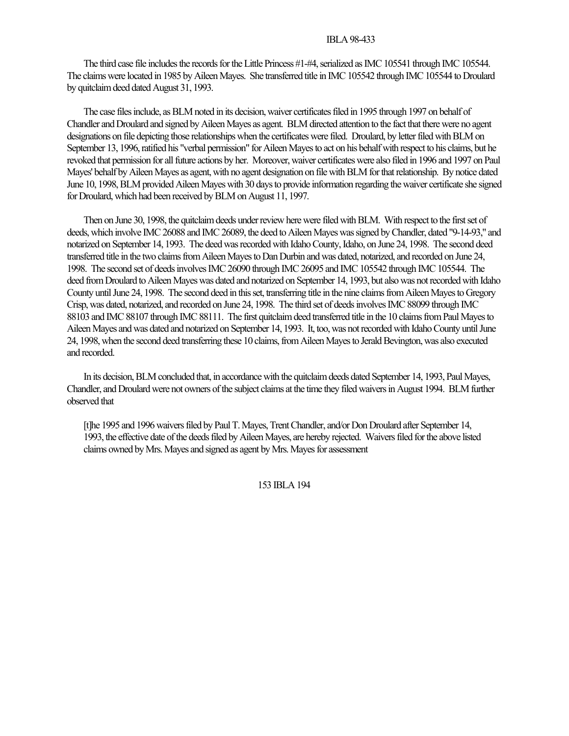The third case file includes the records for the Little Princess #1-#4, serialized as IMC 105541 through IMC 105544. The claims were located in 1985 by Aileen Mayes. She transferred title in IMC 105542 through IMC 105544 to Droulard by quitclaim deed dated August 31, 1993.

The case files include, as BLM noted in its decision, waiver certificates filed in 1995 through 1997 on behalf of Chandler and Droulard and signed by Aileen Mayes as agent. BLM directed attention to the fact that there were no agent designations on file depicting those relationships when the certificates were filed. Droulard, by letter filed with BLM on September 13, 1996, ratified his "verbal permission" for Aileen Mayes to act on his behalf with respect to his claims, but he revoked that permission for all future actions by her. Moreover, waiver certificates were also filed in 1996 and 1997 on Paul Mayes' behalf by Aileen Mayes as agent, with no agent designation on file with BLM for that relationship. By notice dated June 10, 1998, BLM provided Aileen Mayes with 30 days to provide information regarding the waiver certificate she signed for Droulard, which had been received by BLM on August 11, 1997.

Then on June 30, 1998, the quitclaim deeds under review here were filed with BLM. With respect to the first set of deeds, which involve IMC 26088 and IMC 26089, the deed to Aileen Mayes was signed by Chandler, dated "9-14-93," and notarized on September 14, 1993. The deed was recorded with Idaho County, Idaho, on June 24, 1998. The second deed transferred title in the two claims from Aileen Mayes to Dan Durbin and was dated, notarized, and recorded on June 24, 1998. The second set of deeds involves IMC 26090 through IMC 26095 and IMC 105542 through IMC 105544. The deed from Droulard to Aileen Mayes was dated and notarized on September 14, 1993, but also was not recorded with Idaho County until June 24, 1998. The second deed in this set, transferring title in the nine claims from Aileen Mayes to Gregory Crisp, was dated, notarized, and recorded on June 24, 1998. The third set of deeds involves IMC 88099 through IMC 88103 and IMC 88107 through IMC 88111. The first quitclaim deed transferred title in the 10 claims from Paul Mayes to Aileen Mayes and was dated and notarized on September 14, 1993. It, too, was not recorded with Idaho County until June 24, 1998, when the second deed transferring these 10 claims, from Aileen Mayes to Jerald Bevington, was also executed and recorded.

In its decision, BLM concluded that, in accordance with the quitclaim deeds dated September 14, 1993, Paul Mayes, Chandler, and Droulard were not owners of the subject claims at the time they filed waivers in August 1994. BLM further observed that

[t]he 1995 and 1996 waivers filed by Paul T. Mayes, Trent Chandler, and/or Don Droulard after September 14, 1993, the effective date of the deeds filed by Aileen Mayes, are hereby rejected. Waivers filed for the above listed claims owned by Mrs. Mayes and signed as agent by Mrs. Mayes for assessment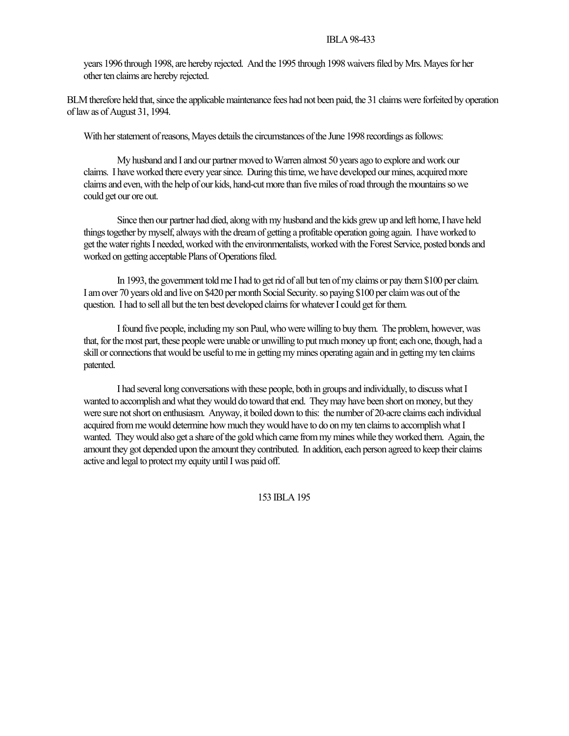years 1996 through 1998, are hereby rejected. And the 1995 through 1998 waivers filed by Mrs. Mayes for her other ten claims are hereby rejected.

BLM therefore held that, since the applicable maintenance fees had not been paid, the 31 claims were forfeited by operation of law as of August 31, 1994.

With her statement of reasons, Mayes details the circumstances of the June 1998 recordings as follows:

My husband and I and our partner moved to Warren almost 50 years ago to explore and work our claims. I have worked there every year since. During this time, we have developed our mines, acquired more claims and even, with the help of our kids, hand-cut more than five miles of road through the mountains so we could get our ore out.

Since then our partner had died, along with my husband and the kids grew up and left home, I have held things together by myself, always with the dream of getting a profitable operation going again. I have worked to get the water rights I needed, worked with the environmentalists, worked with the Forest Service, posted bonds and worked on getting acceptable Plans of Operations filed.

In 1993, the government told me I had to get rid of all but ten of my claims or pay them \$100 per claim. I am over 70 years old and live on \$420 per month Social Security. so paying \$100 per claim was out of the question. I had to sell all but the ten best developed claims for whatever I could get for them.

I found five people, including my son Paul, who were willing to buy them. The problem, however, was that, for the most part, these people were unable or unwilling to put much money up front; each one, though, had a skill or connections that would be useful to me in getting my mines operating again and in getting my ten claims patented.

I had several long conversations with these people, both in groups and individually, to discuss what I wanted to accomplish and what they would do toward that end. They may have been short on money, but they were sure not short on enthusiasm. Anyway, it boiled down to this: the number of 20-acre claims each individual acquired from me would determine how much they would have to do on my ten claims to accomplish what I wanted. They would also get a share of the gold which came from my mines while they worked them. Again, the amount they got depended upon the amount they contributed. In addition, each person agreed to keep their claims active and legal to protect my equity until I was paid off.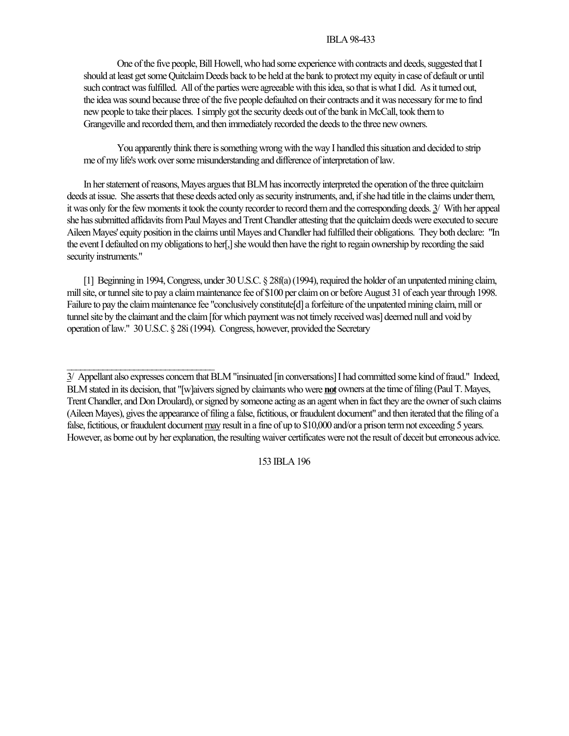One of the five people, Bill Howell, who had some experience with contracts and deeds, suggested that I should at least get some Quitclaim Deeds back to be held at the bank to protect my equity in case of default or until such contract was fulfilled. All of the parties were agreeable with this idea, so that is what I did. As it turned out, the idea was sound because three of the five people defaulted on their contracts and it was necessary for me to find new people to take their places. I simply got the security deeds out of the bank in McCall, took them to Grangeville and recorded them, and then immediately recorded the deeds to the three new owners.

You apparently think there is something wrong with the way I handled this situation and decided to strip me of my life's work over some misunderstanding and difference of interpretation of law.

In her statement of reasons, Mayes argues that BLM has incorrectly interpreted the operation of the three quitclaim deeds at issue. She asserts that these deeds acted only as security instruments, and, if she had title in the claims under them, it was only for the few moments it took the county recorder to record them and the corresponding deeds. 3/ With her appeal she has submitted affidavits from Paul Mayes and Trent Chandler attesting that the quitclaim deeds were executed to secure Aileen Mayes' equity position in the claims until Mayes and Chandler had fulfilled their obligations. They both declare: "In the event I defaulted on my obligations to her[,] she would then have the right to regain ownership by recording the said security instruments."

[1] Beginning in 1994, Congress, under 30 U.S.C. § 28f(a) (1994), required the holder of an unpatented mining claim, mill site, or tunnel site to pay a claim maintenance fee of \$100 per claim on or before August 31 of each year through 1998. Failure to pay the claim maintenance fee "conclusively constitute[d] a forfeiture of the unpatented mining claim, mill or tunnel site by the claimant and the claim [for which payment was not timely received was] deemed null and void by operation of law." 30 U.S.C. § 28i (1994). Congress, however, provided the Secretary

 $\mathcal{L}_\text{max}$ 

<sup>3/</sup> Appellant also expresses concern that BLM "insinuated [in conversations] I had committed some kind of fraud." Indeed, BLM stated in its decision, that "[w]aivers signed by claimants who were **not** owners at the time of filing (Paul T. Mayes, Trent Chandler, and Don Droulard), or signed by someone acting as an agent when in fact they are the owner of such claims (Aileen Mayes), gives the appearance of filing a false, fictitious, or fraudulent document" and then iterated that the filing of a false, fictitious, or fraudulent document may result in a fine of up to \$10,000 and/or a prison term not exceeding 5 years. However, as borne out by her explanation, the resulting waiver certificates were not the result of deceit but erroneous advice.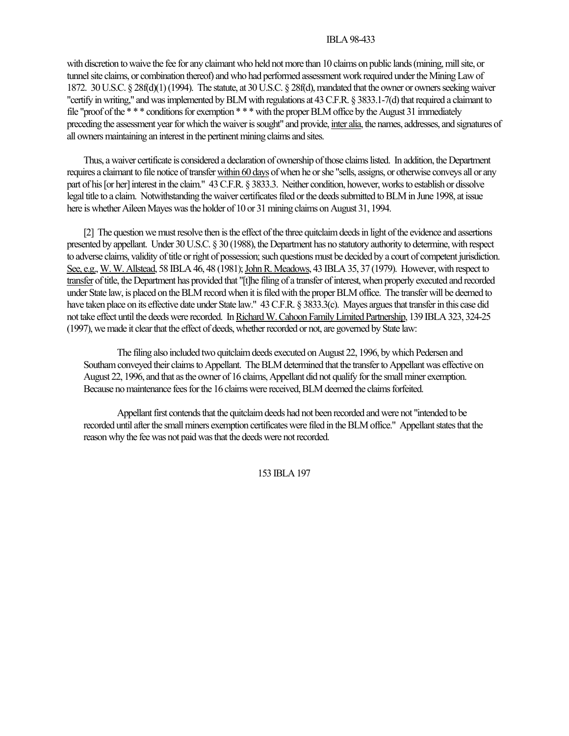with discretion to waive the fee for any claimant who held not more than 10 claims on public lands (mining, mill site, or tunnel site claims, or combination thereof) and who had performed assessment work required under the Mining Law of 1872. 30 U.S.C. § 28f(d)(1) (1994). The statute, at 30 U.S.C. § 28f(d), mandated that the owner or owners seeking waiver "certify in writing," and was implemented by BLM with regulations at 43 C.F.R. § 3833.1-7(d) that required a claimant to file "proof of the \* \* \* conditions for exemption \* \* \* with the proper BLM office by the August 31 immediately preceding the assessment year for which the waiver is sought" and provide, inter alia, the names, addresses, and signatures of all owners maintaining an interest in the pertinent mining claims and sites.

Thus, a waiver certificate is considered a declaration of ownership of those claims listed. In addition, the Department requires a claimant to file notice of transfer within 60 days of when he or she "sells, assigns, or otherwise conveys all or any part of his [or her] interest in the claim." 43 C.F.R. § 3833.3. Neither condition, however, works to establish or dissolve legal title to a claim. Notwithstanding the waiver certificates filed or the deeds submitted to BLM in June 1998, at issue here is whether Aileen Mayes was the holder of 10 or 31 mining claims on August 31, 1994.

[2] The question we must resolve then is the effect of the three quitclaim deeds in light of the evidence and assertions presented by appellant. Under 30 U.S.C. § 30 (1988), the Department has no statutory authority to determine, with respect to adverse claims, validity of title or right of possession; such questions must be decided by a court of competent jurisdiction. See, e.g., W. W. Allstead, 58 IBLA 46, 48 (1981); John R. Meadows, 43 IBLA 35, 37 (1979). However, with respect to transfer of title, the Department has provided that "[t]he filing of a transfer of interest, when properly executed and recorded under State law, is placed on the BLM record when it is filed with the proper BLM office. The transfer will be deemed to have taken place on its effective date under State law." 43 C.F.R. § 3833.3(c). Mayes argues that transfer in this case did not take effect until the deeds were recorded. In Richard W. Cahoon Family Limited Partnership, 139 IBLA 323, 324-25 (1997), we made it clear that the effect of deeds, whether recorded or not, are governed by State law:

The filing also included two quitclaim deeds executed on August 22, 1996, by which Pedersen and Southam conveyed their claims to Appellant. The BLM determined that the transfer to Appellant was effective on August 22, 1996, and that as the owner of 16 claims, Appellant did not qualify for the small miner exemption. Because no maintenance fees for the 16 claims were received, BLM deemed the claims forfeited.

Appellant first contends that the quitclaim deeds had not been recorded and were not "intended to be recorded until after the small miners exemption certificates were filed in the BLM office." Appellant states that the reason why the fee was not paid was that the deeds were not recorded.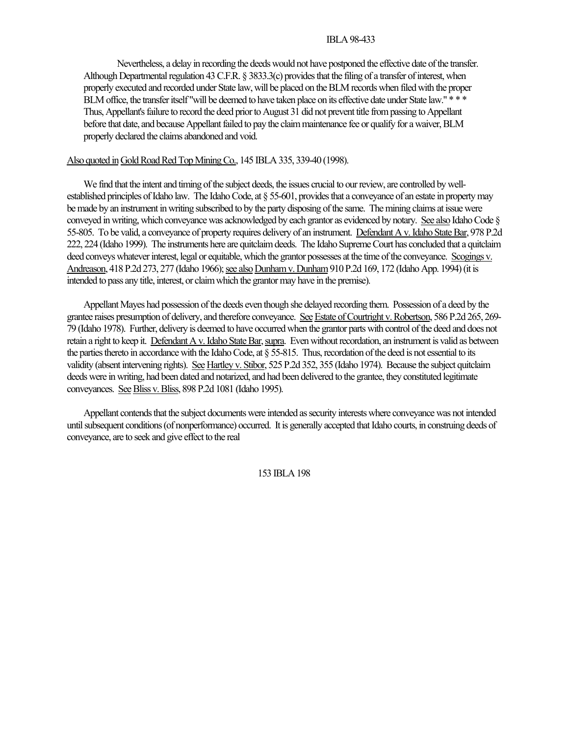Nevertheless, a delay in recording the deeds would not have postponed the effective date of the transfer. Although Departmental regulation 43 C.F.R. § 3833.3(c) provides that the filing of a transfer of interest, when properly executed and recorded under State law, will be placed on the BLM records when filed with the proper BLM office, the transfer itself "will be deemed to have taken place on its effective date under State law." \* \* \* Thus, Appellant's failure to record the deed prior to August 31 did not prevent title from passing to Appellant before that date, and because Appellant failed to pay the claim maintenance fee or qualify for a waiver, BLM properly declared the claims abandoned and void.

# Also quoted in Gold Road Red Top Mining Co., 145 IBLA 335, 339-40 (1998).

We find that the intent and timing of the subject deeds, the issues crucial to our review, are controlled by wellestablished principles of Idaho law. The Idaho Code, at § 55-601, provides that a conveyance of an estate in property may be made by an instrument in writing subscribed to by the party disposing of the same. The mining claims at issue were conveyed in writing, which conveyance was acknowledged by each grantor as evidenced by notary. See also Idaho Code § 55-805. To be valid, a conveyance of property requires delivery of an instrument. Defendant A v. Idaho State Bar, 978 P.2d 222, 224 (Idaho 1999). The instruments here are quitclaim deeds. The Idaho Supreme Court has concluded that a quitclaim deed conveys whatever interest, legal or equitable, which the grantor possesses at the time of the conveyance. Scogings v. Andreason, 418 P.2d 273, 277 (Idaho 1966); see also Dunham v. Dunham 910 P.2d 169, 172 (Idaho App. 1994) (it is intended to pass any title, interest, or claim which the grantor may have in the premise).

Appellant Mayes had possession of the deeds even though she delayed recording them. Possession of a deed by the grantee raises presumption of delivery, and therefore conveyance. See Estate of Courtright v. Robertson, 586 P.2d 265, 269- 79 (Idaho 1978). Further, delivery is deemed to have occurred when the grantor parts with control of the deed and does not retain a right to keep it. Defendant A v. Idaho State Bar, supra. Even without recordation, an instrument is valid as between the parties thereto in accordance with the Idaho Code, at § 55-815. Thus, recordation of the deed is not essential to its validity (absent intervening rights). See Hartley v. Stibor, 525 P.2d 352, 355 (Idaho 1974). Because the subject quitclaim deeds were in writing, had been dated and notarized, and had been delivered to the grantee, they constituted legitimate conveyances. See Bliss v. Bliss, 898 P.2d 1081 (Idaho 1995).

Appellant contends that the subject documents were intended as security interests where conveyance was not intended until subsequent conditions (of nonperformance) occurred. It is generally accepted that Idaho courts, in construing deeds of conveyance, are to seek and give effect to the real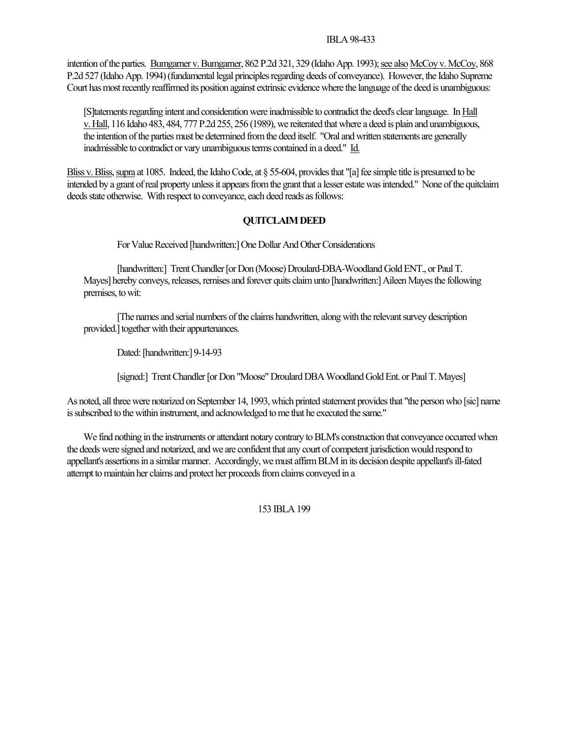intention of the parties. Bumgarner v. Bumgarner, 862 P.2d 321, 329 (Idaho App. 1993); see also McCoy v. McCoy, 868 P.2d 527 (Idaho App. 1994) (fundamental legal principles regarding deeds of conveyance). However, the Idaho Supreme Court has most recently reaffirmed its position against extrinsic evidence where the language of the deed is unambiguous:

[S]tatements regarding intent and consideration were inadmissible to contradict the deed's clear language. In Hall v. Hall, 116 Idaho 483, 484, 777 P.2d 255, 256 (1989), we reiterated that where a deed is plain and unambiguous, the intention of the parties must be determined from the deed itself. "Oral and written statements are generally inadmissible to contradict or vary unambiguous terms contained in a deed." Id.

Bliss v. Bliss, supra at 1085. Indeed, the Idaho Code, at § 55-604, provides that "[a] fee simple title is presumed to be intended by a grant of real property unless it appears from the grant that a lesser estate was intended." None of the quitclaim deeds state otherwise. With respect to conveyance, each deed reads as follows:

# **QUITCLAIM DEED**

For Value Received [handwritten:] One Dollar And Other Considerations

[handwritten:] Trent Chandler [or Don (Moose) Droulard-DBA-Woodland Gold ENT., or Paul T. Mayes] hereby conveys, releases, remises and forever quits claim unto [handwritten:] Aileen Mayes the following premises, to wit:

[The names and serial numbers of the claims handwritten, along with the relevant survey description provided.] together with their appurtenances.

Dated: [handwritten:] 9-14-93

[signed:] Trent Chandler [or Don "Moose" Droulard DBA Woodland Gold Ent. or Paul T. Mayes]

As noted, all three were notarized on September 14, 1993, which printed statement provides that "the person who [sic] name is subscribed to the within instrument, and acknowledged to me that he executed the same."

We find nothing in the instruments or attendant notary contrary to BLM's construction that conveyance occurred when the deeds were signed and notarized, and we are confident that any court of competent jurisdiction would respond to appellant's assertions in a similar manner. Accordingly, we must affirm BLM in its decision despite appellant's ill-fated attempt to maintain her claims and protect her proceeds from claims conveyed in a